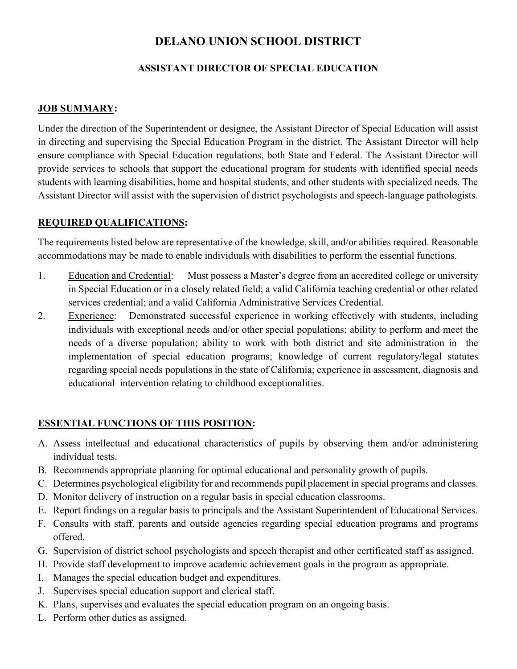# DELANO UNION SCHOOL DISTRICT

### ASSISTANT DIRECTOR OF SPECIAL EDUCATION

### JOB SUMMARY:

Under the direction of the Superintendent or designee, the Assistant Director of Special Education will assist in directing and supervising the Special Education Program in the district. The Assistant Director will help ensure compliance with Special Education regulations, both State and Federal. The Assistant Director will provide services to schools that support the educational program for students with identified special needs students with learning disabilities, home and hospital students, and other students with specialized needs. The Assistant Director will assist with the supervision of district psychologists and speech-language pathologists.

#### REQUIRED QUALIFICATIONS:

The requirements listed below are representative of the knowledge, skill, and/or abilities required. Reasonable accommodations may be made to enable individuals with disabilities to perform the essential functions.

- 1. Education and Credential: Must possess a Master's degree from an accredited college or university in Special Education or in a closely related field; a valid California teaching credential or other related services credential; and a valid California Administrative Services Credential.
- 2. Experience: Demonstrated successful experience in working effectively with students, including individuals with exceptional needs and/or other special populations; ability to perform and meet the needs of a diverse population; ability to work with both district and site administration in the implementation of special education programs; knowledge of current regulatory/legal statutes regarding special needs populations in the state of California; experience in assessment, diagnosis and educational intervention relating to childhood exceptionalities.

## ESSENTIAL FUNCTIONS OF THIS POSITION:

- A. Assess intellectual and educational characteristics of pupils by observing them and/or administering individual tests.
- B. Recommends appropriate planning for optimal educational and personality growth of pupils.
- C. Determines psychological eligibility for and recommends pupil placement in special programs and classes.
- D. Monitor delivery of instruction on a regular basis in special education classrooms.
- E. Report findings on a regular basis to principals and the Assistant Superintendent of Educational Services.
- F. Consults with staff, parents and outside agencies regarding special education programs and programs offered.
- G. Supervision of district school psychologists and speech therapist and other certificated staff as assigned.
- H. Provide staff development to improve academic achievement goals in the program as appropriate.
- I. Manages the special education budget and expenditures.
- J. Supervises special education support and clerical staff.
- K. Plans, supervises and evaluates the special education program on an ongoing basis.
- L. Perform other duties as assigned.